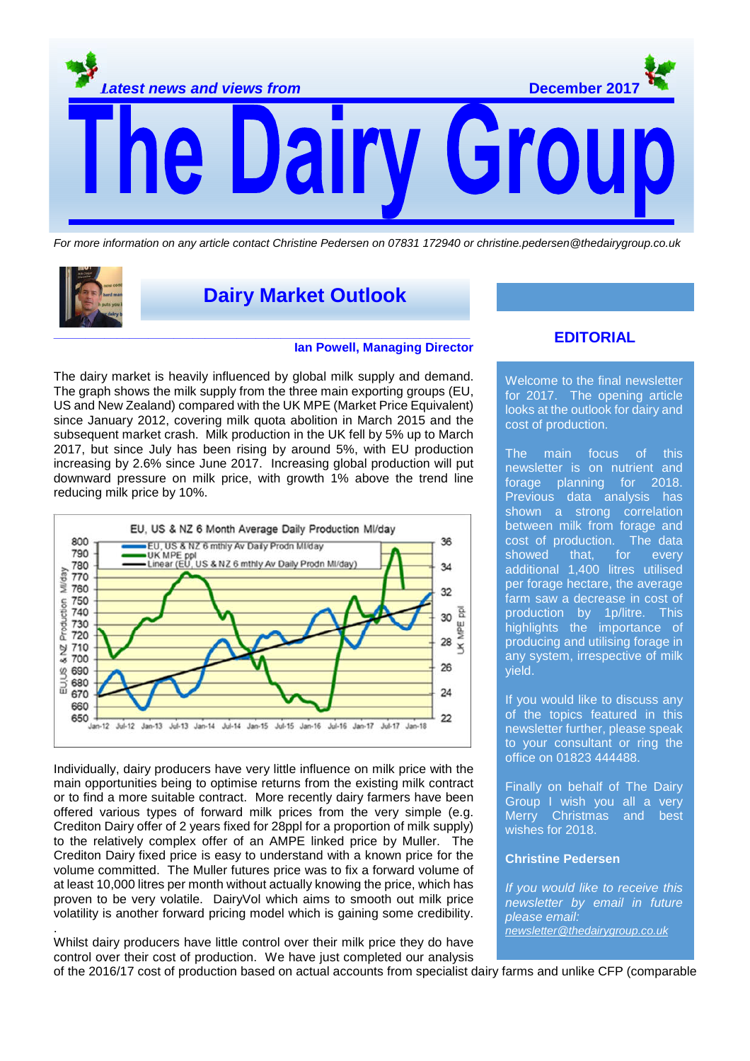

For more information on any article contact Christine Pedersen on 07831 172940 or christine.pedersen@thedairygroup.co.uk



.

**Dairy Market Outlook**

#### **Ian Powell, Managing Director**

The dairy market is heavily influenced by global milk supply and demand. The graph shows the milk supply from the three main exporting groups (EU, US and New Zealand) compared with the UK MPE (Market Price Equivalent) since January 2012, covering milk quota abolition in March 2015 and the subsequent market crash. Milk production in the UK fell by 5% up to March 2017, but since July has been rising by around 5%, with EU production increasing by 2.6% since June 2017. Increasing global production will put downward pressure on milk price, with growth 1% above the trend line reducing milk price by 10%.



Individually, dairy producers have very little influence on milk price with the main opportunities being to optimise returns from the existing milk contract or to find a more suitable contract. More recently dairy farmers have been offered various types of forward milk prices from the very simple (e.g. Crediton Dairy offer of 2 years fixed for 28ppl for a proportion of milk supply) to the relatively complex offer of an AMPE linked price by Muller. The Crediton Dairy fixed price is easy to understand with a known price for the volume committed. The Muller futures price was to fix a forward volume of at least 10,000 litres per month without actually knowing the price, which has proven to be very volatile. DairyVol which aims to smooth out milk price volatility is another forward pricing model which is gaining some credibility.

Whilst dairy producers have little control over their milk price they do have control over their cost of production. We have just completed our analysis

## **EDITORIAL**

Welcome to the final newsletter for 2017. The opening article looks at the outlook for dairy and cost of production.

The main focus of this newsletter is on nutrient and forage planning for 2018. Previous data analysis has shown a strong correlation between milk from forage and cost of production. The data showed that, for every additional 1,400 litres utilised per forage hectare, the average farm saw a decrease in cost of production by 1p/litre. This highlights the importance of producing and utilising forage in any system, irrespective of milk yield.

If you would like to discuss any of the topics featured in this newsletter further, please speak to your consultant or ring the office on 01823 444488.

Finally on behalf of The Dairy Group I wish you all a very Merry Christmas and best wishes for 2018.

#### **Christine Pedersen**

If you would like to receive this newsletter by email in future please email: newsletter@thedairygroup.co.uk

of the 2016/17 cost of production based on actual accounts from specialist dairy farms and unlike CFP (comparable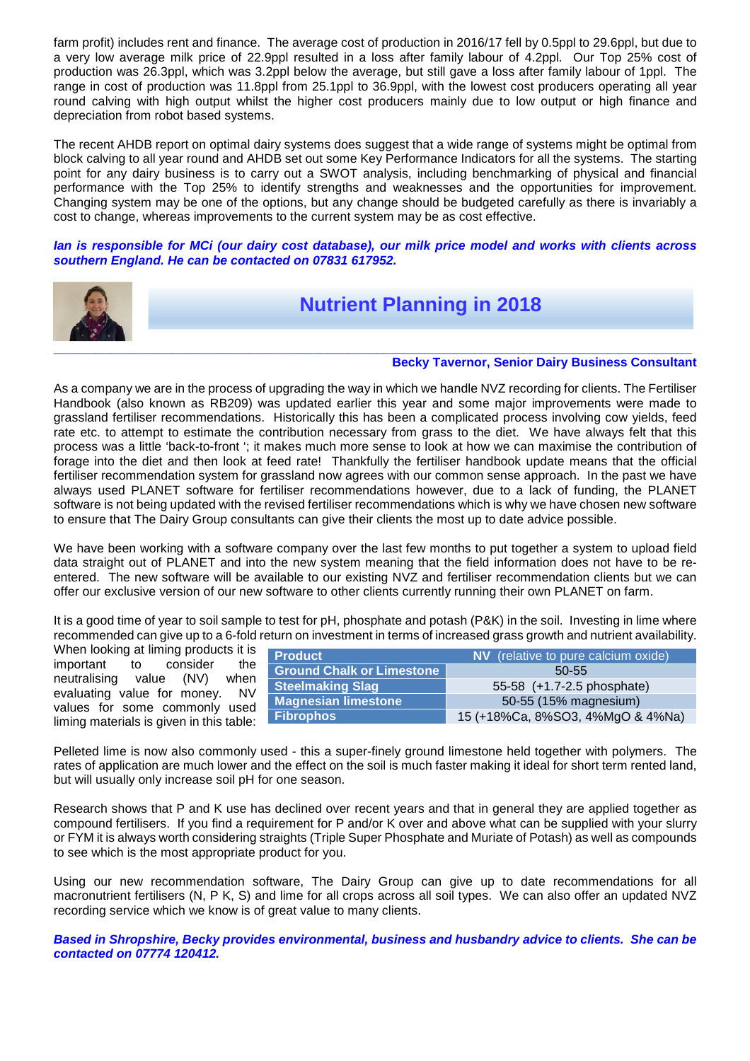farm profit) includes rent and finance. The average cost of production in 2016/17 fell by 0.5ppl to 29.6ppl, but due to a very low average milk price of 22.9ppl resulted in a loss after family labour of 4.2ppl. Our Top 25% cost of production was 26.3ppl, which was 3.2ppl below the average, but still gave a loss after family labour of 1ppl. The range in cost of production was 11.8ppl from 25.1ppl to 36.9ppl, with the lowest cost producers operating all year round calving with high output whilst the higher cost producers mainly due to low output or high finance and depreciation from robot based systems.

The recent AHDB report on optimal dairy systems does suggest that a wide range of systems might be optimal from block calving to all year round and AHDB set out some Key Performance Indicators for all the systems. The starting point for any dairy business is to carry out a SWOT analysis, including benchmarking of physical and financial performance with the Top 25% to identify strengths and weaknesses and the opportunities for improvement. Changing system may be one of the options, but any change should be budgeted carefully as there is invariably a cost to change, whereas improvements to the current system may be as cost effective.

**Ian is responsible for MCi (our dairy cost database), our milk price model and works with clients across southern England. He can be contacted on 07831 617952.** 



# **Nutrient Planning in 2018**

#### **Becky Tavernor, Senior Dairy Business Consultant**

As a company we are in the process of upgrading the way in which we handle NVZ recording for clients. The Fertiliser Handbook (also known as RB209) was updated earlier this year and some major improvements were made to grassland fertiliser recommendations. Historically this has been a complicated process involving cow yields, feed rate etc. to attempt to estimate the contribution necessary from grass to the diet. We have always felt that this process was a little 'back-to-front '; it makes much more sense to look at how we can maximise the contribution of forage into the diet and then look at feed rate! Thankfully the fertiliser handbook update means that the official fertiliser recommendation system for grassland now agrees with our common sense approach. In the past we have always used PLANET software for fertiliser recommendations however, due to a lack of funding, the PLANET software is not being updated with the revised fertiliser recommendations which is why we have chosen new software to ensure that The Dairy Group consultants can give their clients the most up to date advice possible.

We have been working with a software company over the last few months to put together a system to upload field data straight out of PLANET and into the new system meaning that the field information does not have to be reentered. The new software will be available to our existing NVZ and fertiliser recommendation clients but we can offer our exclusive version of our new software to other clients currently running their own PLANET on farm.

It is a good time of year to soil sample to test for pH, phosphate and potash (P&K) in the soil. Investing in lime where recommended can give up to a 6-fold return on investment in terms of increased grass growth and nutrient availability.

When looking at liming products it is important to consider the neutralising value (NV) when evaluating value for money. NV values for some commonly used liming materials is given in this table:

| <b>Product</b>                   | <b>NV</b> (relative to pure calcium oxide) |  |  |
|----------------------------------|--------------------------------------------|--|--|
| <b>Ground Chalk or Limestone</b> | 50-55                                      |  |  |
| <b>Steelmaking Slag</b>          | 55-58 (+1.7-2.5 phosphate)                 |  |  |
| <b>Magnesian limestone</b>       | 50-55 (15% magnesium)                      |  |  |
| <b>Fibrophos</b>                 | 15 (+18%Ca, 8%SO3, 4%MgO & 4%Na)           |  |  |

Pelleted lime is now also commonly used - this a super-finely ground limestone held together with polymers. The rates of application are much lower and the effect on the soil is much faster making it ideal for short term rented land, but will usually only increase soil pH for one season.

Research shows that P and K use has declined over recent years and that in general they are applied together as compound fertilisers. If you find a requirement for P and/or K over and above what can be supplied with your slurry or FYM it is always worth considering straights (Triple Super Phosphate and Muriate of Potash) as well as compounds to see which is the most appropriate product for you.

Using our new recommendation software, The Dairy Group can give up to date recommendations for all macronutrient fertilisers (N, P K, S) and lime for all crops across all soil types. We can also offer an updated NVZ recording service which we know is of great value to many clients.

**Based in Shropshire, Becky provides environmental, business and husbandry advice to clients. She can be contacted on 07774 120412.**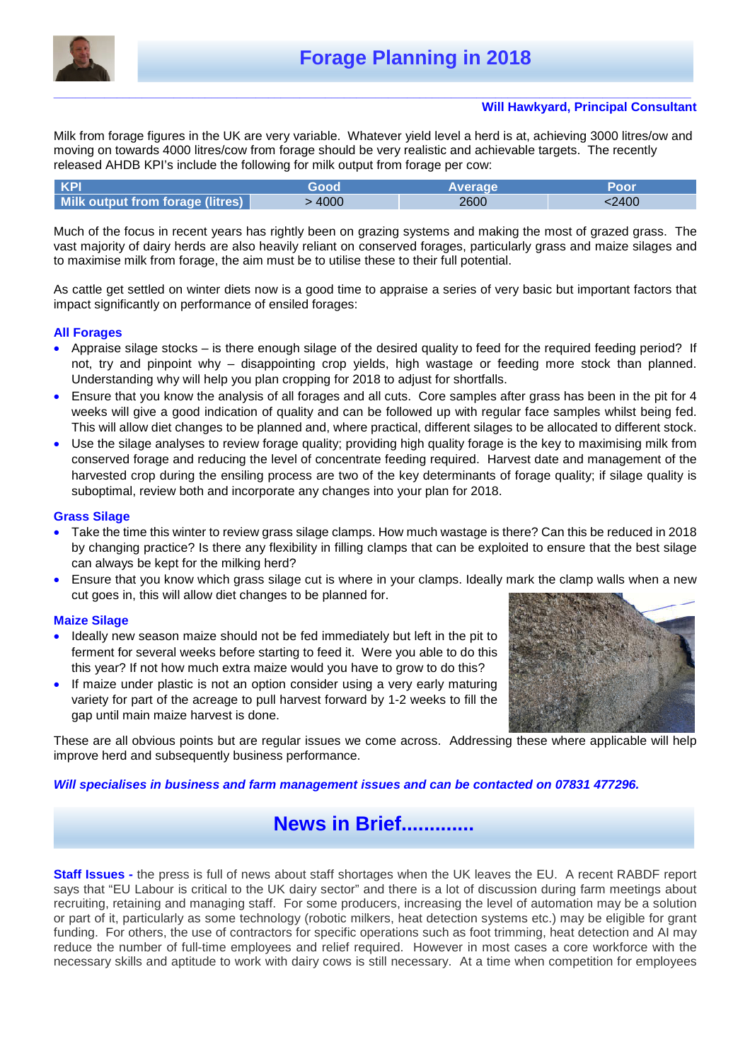

#### **\_\_\_\_\_\_\_\_\_\_\_\_\_\_\_\_\_\_\_\_\_\_\_\_\_\_\_\_\_\_\_\_\_\_\_\_\_\_\_\_\_\_\_\_\_\_\_\_\_\_\_\_\_\_\_\_\_\_\_\_\_\_\_\_\_\_\_\_\_\_\_\_\_\_\_\_\_\_\_\_\_\_\_\_\_\_\_\_\_\_\_\_\_\_\_\_\_\_\_\_\_ Will Hawkyard, Principal Consultant**

Milk from forage figures in the UK are very variable. Whatever yield level a herd is at, achieving 3000 litres/ow and moving on towards 4000 litres/cow from forage should be very realistic and achievable targets. The recently released AHDB KPI's include the following for milk output from forage per cow:

| KPI                              |      |      |
|----------------------------------|------|------|
| Milk output from forage (litres) | 2600 | 2400 |

Much of the focus in recent years has rightly been on grazing systems and making the most of grazed grass. The vast majority of dairy herds are also heavily reliant on conserved forages, particularly grass and maize silages and to maximise milk from forage, the aim must be to utilise these to their full potential.

As cattle get settled on winter diets now is a good time to appraise a series of very basic but important factors that impact significantly on performance of ensiled forages:

### **All Forages**

- Appraise silage stocks is there enough silage of the desired quality to feed for the required feeding period? If not, try and pinpoint why – disappointing crop yields, high wastage or feeding more stock than planned. Understanding why will help you plan cropping for 2018 to adjust for shortfalls.
- Ensure that you know the analysis of all forages and all cuts. Core samples after grass has been in the pit for 4 weeks will give a good indication of quality and can be followed up with regular face samples whilst being fed. This will allow diet changes to be planned and, where practical, different silages to be allocated to different stock.
- Use the silage analyses to review forage quality; providing high quality forage is the key to maximising milk from conserved forage and reducing the level of concentrate feeding required. Harvest date and management of the harvested crop during the ensiling process are two of the key determinants of forage quality; if silage quality is suboptimal, review both and incorporate any changes into your plan for 2018.

### **Grass Silage**

- Take the time this winter to review grass silage clamps. How much wastage is there? Can this be reduced in 2018 by changing practice? Is there any flexibility in filling clamps that can be exploited to ensure that the best silage can always be kept for the milking herd?
- Ensure that you know which grass silage cut is where in your clamps. Ideally mark the clamp walls when a new cut goes in, this will allow diet changes to be planned for.

### **Maize Silage**

- Ideally new season maize should not be fed immediately but left in the pit to ferment for several weeks before starting to feed it. Were you able to do this this year? If not how much extra maize would you have to grow to do this?
- If maize under plastic is not an option consider using a very early maturing variety for part of the acreage to pull harvest forward by 1-2 weeks to fill the gap until main maize harvest is done.



These are all obvious points but are regular issues we come across. Addressing these where applicable will help improve herd and subsequently business performance.

### **Will specialises in business and farm management issues and can be contacted on 07831 477296.**

# **News in Brief.............**

**Staff Issues -** the press is full of news about staff shortages when the UK leaves the EU. A recent RABDF report says that "EU Labour is critical to the UK dairy sector" and there is a lot of discussion during farm meetings about recruiting, retaining and managing staff. For some producers, increasing the level of automation may be a solution or part of it, particularly as some technology (robotic milkers, heat detection systems etc.) may be eligible for grant funding. For others, the use of contractors for specific operations such as foot trimming, heat detection and AI may reduce the number of full-time employees and relief required. However in most cases a core workforce with the necessary skills and aptitude to work with dairy cows is still necessary. At a time when competition for employees